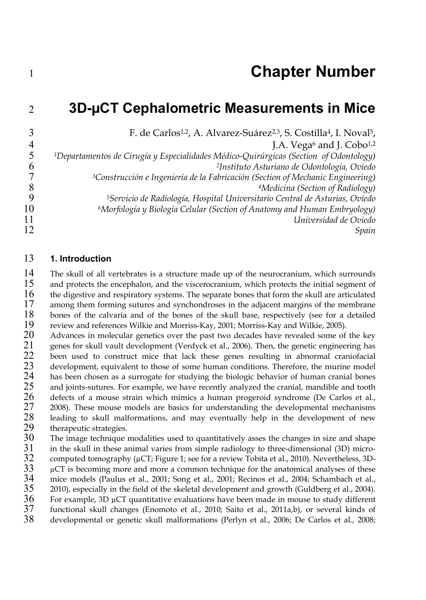## 2 **3D-µCT Cephalometric Measurements in Mice**

|    | F. de Carlos <sup>1,2</sup> , A. Alvarez-Suárez <sup>2,3</sup> , S. Costilla <sup>4</sup> , I. Noval <sup>5</sup> , |
|----|---------------------------------------------------------------------------------------------------------------------|
|    | J.A. Vega <sup>6</sup> and J. Cobo <sup>1,2</sup>                                                                   |
|    | <sup>1</sup> Departamentos de Cirugía y Especialidades Médico-Quirúrgicas (Section of Odontology)                   |
| b  | <sup>2</sup> Instituto Asturiano de Odontología, Oviedo                                                             |
|    | <sup>3</sup> Construcción e Ingeniería de la Fabricación (Section of Mechanic Engineering)                          |
|    | <sup>4</sup> Medicina (Section of Radiology)                                                                        |
| 9  | <sup>5</sup> Servicio de Radiología, Hospital Universitario Central de Asturias, Oviedo                             |
| 10 | <sup>6</sup> Morfología y Biología Celular (Section of Anatomy and Human Embryology)                                |
| 11 | Universidad de Oviedo                                                                                               |
| 12 | Spain                                                                                                               |

## 13 **1. Introduction**

14 The skull of all vertebrates is a structure made up of the neurocranium, which surrounds<br>15 and protects the encephalon, and the viscerocranium, which protects the initial segment of  $15$  and protects the encephalon, and the viscerocranium, which protects the initial segment of  $16$  the digestive and respiratory systems. The separate bones that form the skull are articulated 16 the digestive and respiratory systems. The separate bones that form the skull are articulated among them forming sutures and synchondroses in the adiacent margins of the membrane 17 among them forming sutures and synchondroses in the adjacent margins of the membrane<br>18 bones of the calvaria and of the bones of the skull base, respectively (see for a detailed 18 bones of the calvaria and of the bones of the skull base, respectively (see for a detailed 19 review and references Wilkie and Morriss-Kay, 2001; Morriss-Kay and Wilkie, 2005). 19 review and references Wilkie and Morriss-Kay, 2001; Morriss-Kay and Wilkie, 2005).<br>20 Advances in molecular genetics over the past two decades have revealed some of

20 Advances in molecular genetics over the past two decades have revealed some of the key<br>21 genes for skull vault development (Verdyck et al., 2006). Then, the genetic engineering has 21 genes for skull vault development (Verdyck et al., 2006). Then, the genetic engineering has 22 been used to construct mice that lack these genes resulting in abnormal craniofacial 22 been used to construct mice that lack these genes resulting in abnormal craniofacial<br>23 development equivalent to those of some human conditions. Therefore, the murine model 23 development, equivalent to those of some human conditions. Therefore, the murine model 24 has been chosen as a surrogate for studying the biologic behavior of human cranial bones 24 has been chosen as a surrogate for studying the biologic behavior of human cranial bones<br>25 and joints-sutures. For example, we have recently analyzed the cranial, mandible and tooth 25 and joints-sutures. For example, we have recently analyzed the cranial, mandible and tooth 26 defects of a mouse strain which mimics a human progeroid syndrome (De Carlos et al., 26 defects of a mouse strain which mimics a human progeroid syndrome (De Carlos et al., 27 2008). These mouse models are basics for understanding the developmental mechanisms 27 2008). These mouse models are basics for understanding the developmental mechanisms leading to skull malformations, and may eventually help in the development of new 28 leading to skull malformations, and may eventually help in the development of new therapeutic strategies. 29 therapeutic strategies.<br>30 The image technique

30 The image technique modalities used to quantitatively asses the changes in size and shape 31 in the skull in these animal varies from simple radiology to three-dimensional (3D) micro-31 in the skull in these animal varies from simple radiology to three-dimensional (3D) micro-<br>32 computed tomography ( $\mu$ CT; Figure 1; see for a review Tobita et al., 2010). Nevertheless, 3D- $32$  computed tomography ( $\mu$ CT; Figure 1; see for a review Tobita et al., 2010). Nevertheless, 3D-<br> $\mu$ CT is becoming more and more a common technique for the anatomical analyses of these  $33$  µCT is becoming more and more a common technique for the anatomical analyses of these  $34$  mice models (Paulus et al., 2001: Song et al., 2001: Recinos et al., 2004: Schambach et al., 34 mice models (Paulus et al., 2001; Song et al., 2001; Recinos et al., 2004; Schambach et al., 2001), especially in the field of the skeletal development and growth (Guldberg et al., 2004).  $35$  2010), especially in the field of the skeletal development and growth (Guldberg et al., 2004).<br> $36$  For example,  $3D \mu CT$  quantitative evaluations have been made in mouse to study different  $36$  For example,  $3D \mu CT$  quantitative evaluations have been made in mouse to study different  $37$  functional skull changes (Enomoto et al., 2010; Saito et al., 2011a.b), or several kinds of 37 functional skull changes (Enomoto et al., 2010; Saito et al., 2011a,b), or several kinds of 38 developmental or genetic skull malformations (Perlyn et al., 2006; De Carlos et al., 2008; developmental or genetic skull malformations (Perlyn et al., 2006; De Carlos et al., 2008;